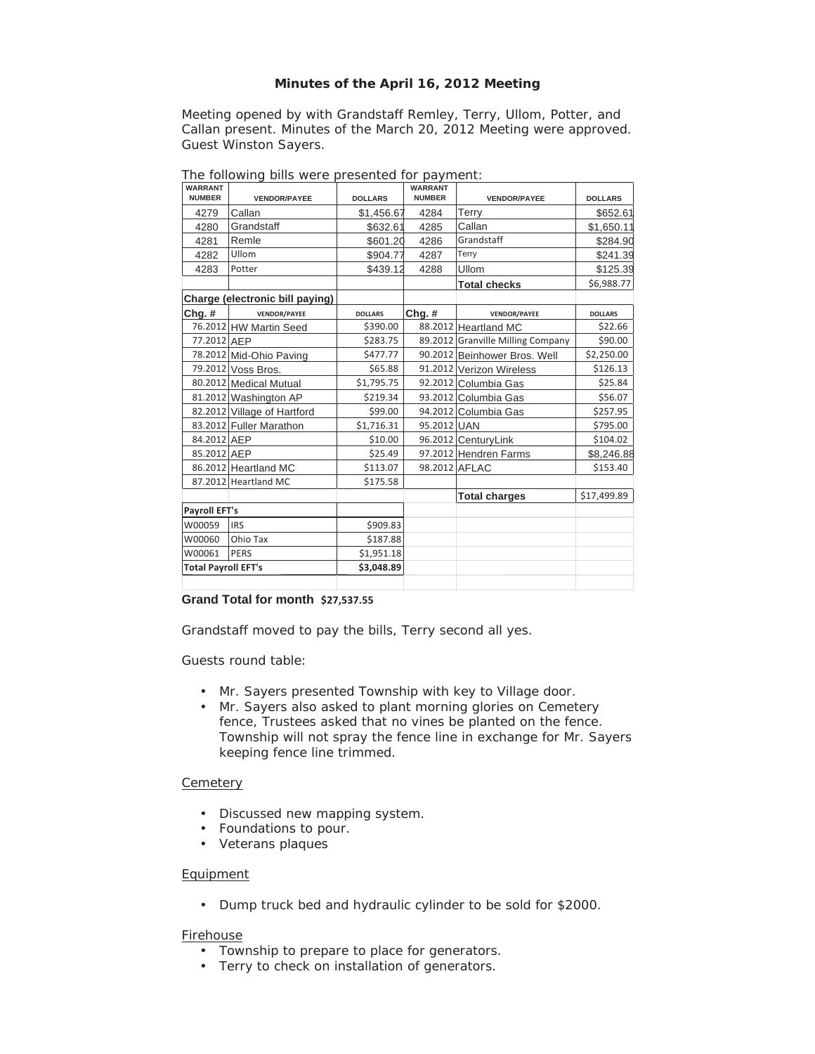# **Minutes of the April 16, 2012 Meeting**

Meeting opened by with Grandstaff Remley, Terry, Ullom, Potter, and Callan present. Minutes of the March 20, 2012 Meeting were approved. Guest Winston Sayers.

| <b>WARRANT</b><br><b>NUMBER</b> | <b>VENDOR/PAYEE</b>         | <b>DOLLARS</b> | <b>WARRANT</b><br><b>NUMBER</b> | <b>VENDOR/PAYEE</b>               | <b>DOLLARS</b> |
|---------------------------------|-----------------------------|----------------|---------------------------------|-----------------------------------|----------------|
| 4279                            | Callan                      | \$1,456.67     | 4284                            | Terry                             | \$652.61       |
| 4280                            | Grandstaff                  | \$632.61       | 4285                            | Callan                            | \$1,650.11     |
| 4281                            | Remle                       | \$601.20       | 4286                            | Grandstaff                        | \$284.90       |
| 4282                            | Ullom                       | \$904.77       | 4287                            | Terry                             | \$241.39       |
| 4283                            | Potter                      | \$439.12       | 4288                            | Ullom                             | \$125.39       |
|                                 |                             |                |                                 | <b>Total checks</b>               | \$6,988.77     |
| Charge (electronic bill paying) |                             |                |                                 |                                   |                |
| $Chg.$ #                        | <b>VENDOR/PAYEE</b>         | <b>DOLLARS</b> | $Chg.$ #                        | <b>VENDOR/PAYEE</b>               | <b>DOLLARS</b> |
|                                 | 76.2012 HW Martin Seed      | \$390.00       |                                 | 88.2012 Heartland MC              | \$22.66        |
| 77.2012 AEP                     |                             | \$283.75       |                                 | 89.2012 Granville Milling Company | \$90.00        |
|                                 | 78.2012 Mid-Ohio Paving     | \$477.77       |                                 | 90.2012 Beinhower Bros. Well      | \$2,250.00     |
|                                 | 79.2012 Voss Bros.          | \$65.88        |                                 | 91.2012 Verizon Wireless          | \$126.13       |
|                                 | 80.2012 Medical Mutual      | \$1,795.75     |                                 | 92.2012 Columbia Gas              | \$25.84        |
|                                 | 81.2012 Washington AP       | \$219.34       |                                 | 93.2012 Columbia Gas              | \$56.07        |
|                                 | 82.2012 Village of Hartford | \$99.00        |                                 | 94.2012 Columbia Gas              | \$257.95       |
|                                 | 83.2012 Fuller Marathon     | \$1,716.31     | 95.2012 UAN                     |                                   | \$795.00       |
| 84.2012 AEP                     |                             | \$10.00        |                                 | 96.2012 CenturyLink               | \$104.02       |
| 85.2012 AEP                     |                             | \$25.49        |                                 | 97.2012 Hendren Farms             | \$8,246.88     |
|                                 | 86.2012 Heartland MC        | \$113.07       |                                 | 98.2012 AFLAC                     | \$153.40       |
|                                 | 87.2012 Heartland MC        | \$175.58       |                                 |                                   |                |
|                                 |                             |                |                                 | <b>Total charges</b>              | \$17,499.89    |
| <b>Payroll EFT's</b>            |                             |                |                                 |                                   |                |
| W00059                          | <b>IRS</b>                  | \$909.83       |                                 |                                   |                |
| W00060                          | Ohio Tax                    | \$187.88       |                                 |                                   |                |
| W00061                          | PERS                        | \$1,951.18     |                                 |                                   |                |
| <b>Total Payroll EFT's</b>      |                             | \$3,048.89     |                                 |                                   |                |
|                                 |                             |                |                                 |                                   |                |

The following bills were presented for payment:

### **Grand Total for month \$27,537.55**

Grandstaff moved to pay the bills, Terry second all yes.

Guests round table:

- Mr. Sayers presented Township with key to Village door.
- Mr. Sayers also asked to plant morning glories on Cemetery fence, Trustees asked that no vines be planted on the fence. Township will not spray the fence line in exchange for Mr. Sayers keeping fence line trimmed.

# **Cemetery**

- Discussed new mapping system.
- Foundations to pour.
- Veterans plaques

# Equipment

• Dump truck bed and hydraulic cylinder to be sold for \$2000.

#### **Firehouse**

- Township to prepare to place for generators.
- Terry to check on installation of generators.